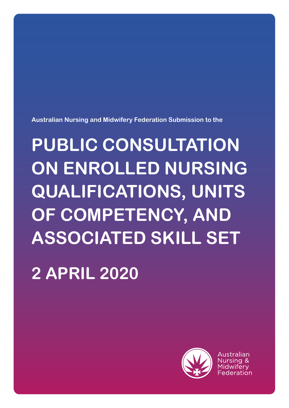**Australian Nursing and Midwifery Federation Submission to the**

# **PUBLIC CONSULTATION ON ENROLLED NURSING QUALIFICATIONS, UNITS OF COMPETENCY, AND ASSOCIATED SKILL SET**

**2 APRIL 2020**



Australian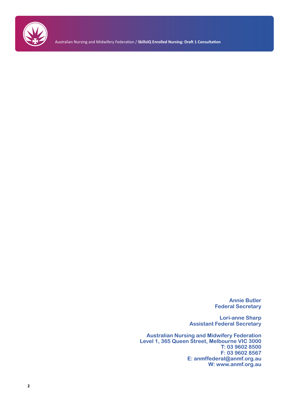

Australian Nursing and Midwifery Federation / **SkillsIQ Enrolled Nursing: Draft 1 Consultation**

**Annie Butler Federal Secretary**

**Lori-anne Sharp Assistant Federal Secretary**

**Australian Nursing and Midwifery Federation Level 1, 365 Queen Street, Melbourne VIC 3000 T: 03 9602 8500 F: 03 9602 8567 E: anmffederal@anmf.org.au W: www.anmf.org.au**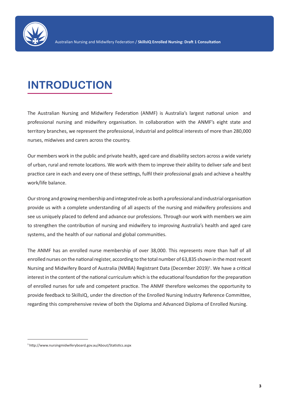

# **INTRODUCTION**

The Australian Nursing and Midwifery Federation (ANMF) is Australia's largest national union and professional nursing and midwifery organisation. In collaboration with the ANMF's eight state and territory branches, we represent the professional, industrial and political interests of more than 280,000 nurses, midwives and carers across the country.

Our members work in the public and private health, aged care and disability sectors across a wide variety of urban, rural and remote locations. We work with them to improve their ability to deliver safe and best practice care in each and every one of these settings, fulfil their professional goals and achieve a healthy work/life balance.

Our strong and growing membership and integrated role as both a professional and industrial organisation provide us with a complete understanding of all aspects of the nursing and midwifery professions and see us uniquely placed to defend and advance our professions. Through our work with members we aim to strengthen the contribution of nursing and midwifery to improving Australia's health and aged care systems, and the health of our national and global communities.

The ANMF has an enrolled nurse membership of over 38,000. This represents more than half of all enrolled nurses on the national register, according to the total number of 63,835 shown in the most recent Nursing and Midwifery Board of Australia (NMBA) Registrant Data (December 2019)<sup>1</sup>. We have a critical interest in the content of the national curriculum which is the educational foundation for the preparation of enrolled nurses for safe and competent practice. The ANMF therefore welcomes the opportunity to provide feedback to SkillsIQ, under the direction of the Enrolled Nursing Industry Reference Committee, regarding this comprehensive review of both the Diploma and Advanced Diploma of Enrolled Nursing.

<sup>&</sup>lt;sup>1</sup> http://www.nursingmidwiferyboard.gov.au/About/Statistics.aspx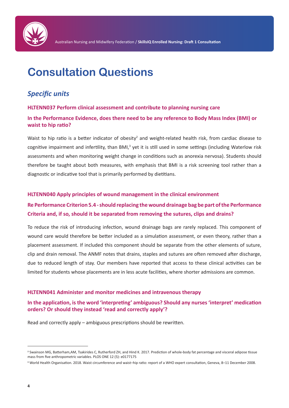

# **Consultation Questions**

# *Specific units*

#### **HLTENN037 Perform clinical assessment and contribute to planning nursing care**

#### **In the Performance Evidence, does there need to be any reference to Body Mass Index (BMI) or waist to hip ratio?**

Waist to hip ratio is a better indicator of obesity<sup>2</sup> and weight-related health risk, from cardiac disease to cognitive impairment and infertility, than BMI,<sup>3</sup> yet it is still used in some settings (including Waterlow risk assessments and when monitoring weight change in conditions such as anorexia nervosa). Students should therefore be taught about both measures, with emphasis that BMI is a risk screening tool rather than a diagnostic or indicative tool that is primarily performed by dietitians.

#### **HLTENN040 Apply principles of wound management in the clinical environment**

### **Re Performance Criterion 5.4 - should replacing the wound drainage bag be part of the Performance Criteria and, if so, should it be separated from removing the sutures, clips and drains?**

To reduce the risk of introducing infection, wound drainage bags are rarely replaced. This component of wound care would therefore be better included as a simulation assessment, or even theory, rather than a placement assessment. If included this component should be separate from the other elements of suture, clip and drain removal. The ANMF notes that drains, staples and sutures are often removed after discharge, due to reduced length of stay. Our members have reported that access to these clinical activities can be limited for students whose placements are in less acute facilities, where shorter admissions are common.

#### **HLTENN041 Administer and monitor medicines and intravenous therapy**

#### **In the application, is the word 'interpreting' ambiguous? Should any nurses 'interpret' medication orders? Or should they instead 'read and correctly apply'?**

Read and correctly apply – ambiguous prescriptions should be rewritten.

<sup>2</sup> Swainson MG, Batterham,AM, Tsakirides C, Rutherford ZH, and Hind K. 2017. Prediction of whole-body fat percentage and visceral adipose tissue mass from five anthropometric variables. PLOS ONE 12 (5): e0177175

<sup>3</sup> World Health Organisation. 2018. Waist circumference and waist–hip ratio: report of a WHO expert consultation, Geneva, 8–11 December 2008.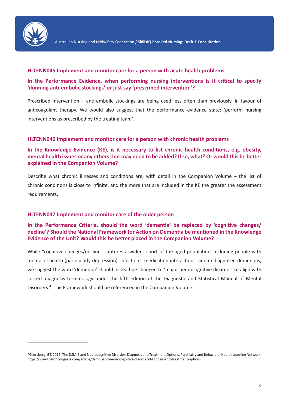

#### **HLTENN045 Implement and monitor care for a person with acute health problems**

#### **In the Performance Evidence, when performing nursing interventions is it critical to specify 'donning anti-embolic stockings' or just say 'prescribed intervention'?**

Prescribed intervention – anti-embolic stockings are being used less often than previously, in favour of anticoagulant therapy. We would also suggest that the performance evidence state: 'perform nursing interventions as prescribed by the treating team'.

#### **HLTENN046 Implement and monitor care for a person with chronic health problems**

#### **In the Knowledge Evidence (KE), is it necessary to list chronic health conditions, e.g. obesity, mental health issues or any others that may need to be added? If so, what? Or would this be better explained in the Companion Volume?**

Describe what chronic illnesses and conditions are, with detail in the Companion Volume – the list of chronic conditions is close to infinite, and the more that are included in the KE the greater the assessment requirements.

#### **HLTENN047 Implement and monitor care of the older person**

#### **In the Performance Criteria, should the word 'dementia' be replaced by 'cognitive changes/ decline'? Should the National Framework for Action on Dementia be mentioned in the Knowledge Evidence of the Unit? Would this be better placed in the Companion Volume?**

While "cognitive changes/decline" captures a wider cohort of the aged population, including people with mental ill health (particularly depression), infections, medication interactions, and undiagnosed dementias, we suggest the word 'dementia' should instead be changed to 'major neurocognitive disorder' to align with correct diagnosis terminology under the fifth edition of the Diagnostic and Statistical Manual of Mental Disorders.<sup>4</sup> The Framework should be referenced in the Companion Volume.

⁴Grossberg, GT. 2015. The DSM-5 and Neurocognitive Disorder: Diagnosis and Treatment Options. Psychiatry and Behavioral Health Learning Network. https://www.psychcongress.com/article/dsm-5-and-neurocognitive-disorder-diagnosis-and-treatment-options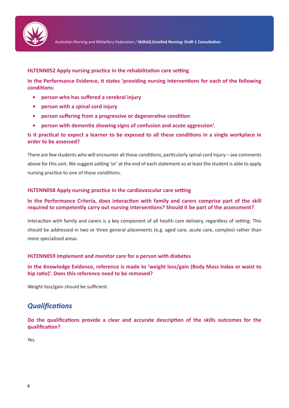

#### **HLTENN052 Apply nursing practice in the rehabilitation care setting**

**In the Performance Evidence, it states 'providing nursing interventions for each of the following conditions:**

- **• person who has suffered a cerebral injury**
- **• person with a spinal cord injury**
- **• person suffering from a progressive or degenerative condition**
- **• person with dementia showing signs of confusion and acute aggression'.**

#### **Is it practical to expect a learner to be exposed to all these conditions in a single workplace in order to be assessed?**

There are few students who will encounter all these conditions, particularly spinal cord injury – see comments above for this unit. We suggest adding 'or' at the end of each statement so at least the student is able to apply nursing practice to one of these conditions.

#### **HLTENN058 Apply nursing practice in the cardiovascular care setting**

#### **In the Performance Criteria, does interaction with family and carers comprise part of the skill required to competently carry out nursing interventions? Should it be part of the assessment?**

Interaction with family and carers is a key component of all health care delivery, regardless of setting. This should be addressed in two or three general placements (e.g. aged care, acute care, complex) rather than more specialised areas.

#### **HLTENN059 Implement and monitor care for a person with diabetes**

#### **In the Knowledge Evidence, reference is made to 'weight loss/gain (Body Mass Index or waist to hip ratio)'. Does this reference need to be removed?**

Weight loss/gain should be sufficient.

# *Qualifications*

**Do the qualifications provide a clear and accurate description of the skills outcomes for the qualification?**

Yes.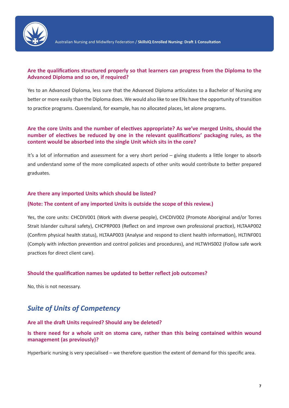

#### **Are the qualifications structured properly so that learners can progress from the Diploma to the Advanced Diploma and so on, if required?**

Yes to an Advanced Diploma, less sure that the Advanced Diploma articulates to a Bachelor of Nursing any better or more easily than the Diploma does. We would also like to see ENs have the opportunity of transition to practice programs. Queensland, for example, has no allocated places, let alone programs.

#### **Are the core Units and the number of electives appropriate? As we've merged Units, should the number of electives be reduced by one in the relevant qualifications' packaging rules, as the content would be absorbed into the single Unit which sits in the core?**

It's a lot of information and assessment for a very short period – giving students a little longer to absorb and understand some of the more complicated aspects of other units would contribute to better prepared graduates.

#### **Are there any imported Units which should be listed?**

#### **(Note: The content of any imported Units is outside the scope of this review.)**

Yes, the core units: CHCDIV001 (Work with diverse people), CHCDIV002 (Promote Aboriginal and/or Torres Strait Islander cultural safety), CHCPRP003 (Reflect on and improve own professional practice), HLTAAP002 (Confirm physical health status), HLTAAP003 (Analyse and respond to client health information), HLTINF001 (Comply with infection prevention and control policies and procedures), and HLTWHS002 (Follow safe work practices for direct client care).

#### **Should the qualification names be updated to better reflect job outcomes?**

No, this is not necessary.

# *Suite of Units of Competency*

#### **Are all the draft Units required? Should any be deleted?**

**Is there need for a whole unit on stoma care, rather than this being contained within wound management (as previously)?**

Hyperbaric nursing is very specialised – we therefore question the extent of demand for this specific area.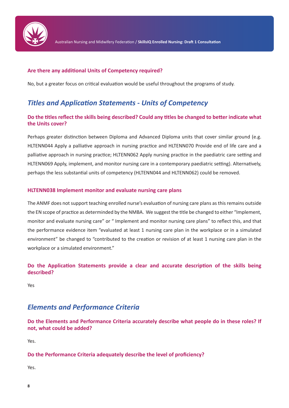

#### **Are there any additional Units of Competency required?**

No, but a greater focus on critical evaluation would be useful throughout the programs of study.

# *Titles and Application Statements - Units of Competency*

#### **Do the titles reflect the skills being described? Could any titles be changed to better indicate what the Units cover?**

Perhaps greater distinction between Diploma and Advanced Diploma units that cover similar ground (e.g. HLTENN044 Apply a palliative approach in nursing practice and HLTENN070 Provide end of life care and a palliative approach in nursing practice; HLTENN062 Apply nursing practice in the paediatric care setting and HLTENN069 Apply, implement, and monitor nursing care in a contemporary paediatric setting). Alternatively, perhaps the less substantial units of competency (HLTENN044 and HLTENN062) could be removed.

#### **HLTENN038 Implement monitor and evaluate nursing care plans**

The ANMF does not support teaching enrolled nurse's evaluation of nursing care plans as this remains outside the EN scope of practice as determinded by the NMBA. We suggest the title be changed to either "Implement, monitor and evaluate nursing care" or " Implement and monitor nursing care plans" to reflect this, and that the performance evidence item "evaluated at least 1 nursing care plan in the workplace or in a simulated environment" be changed to "contributed to the creation or revision of at least 1 nursing care plan in the workplace or a simulated environment."

**Do the Application Statements provide a clear and accurate description of the skills being described?**

Yes

### *Elements and Performance Criteria*

**Do the Elements and Performance Criteria accurately describe what people do in these roles? If not, what could be added?**

Yes.

#### **Do the Performance Criteria adequately describe the level of proficiency?**

Yes.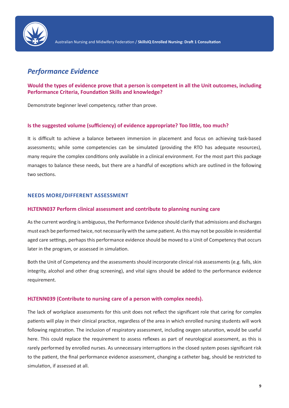

# *Performance Evidence*

**Would the types of evidence prove that a person is competent in all the Unit outcomes, including Performance Criteria, Foundation Skills and knowledge?**

Demonstrate beginner level competency, rather than prove.

#### **Is the suggested volume (sufficiency) of evidence appropriate? Too little, too much?**

It is difficult to achieve a balance between immersion in placement and focus on achieving task-based assessments; while some competencies can be simulated (providing the RTO has adequate resources), many require the complex conditions only available in a clinical environment. For the most part this package manages to balance these needs, but there are a handful of exceptions which are outlined in the following two sections.

#### **NEEDS MORE/DIFFERENT ASSESSMENT**

#### **HLTENN037 Perform clinical assessment and contribute to planning nursing care**

As the current wording is ambiguous, the Performance Evidence should clarify that admissions and discharges must each be performed twice, not necessarily with the same patient. As this may not be possible in residential aged care settings, perhaps this performance evidence should be moved to a Unit of Competency that occurs later in the program, or assessed in simulation.

Both the Unit of Competency and the assessments should incorporate clinical risk assessments (e.g. falls, skin integrity, alcohol and other drug screening), and vital signs should be added to the performance evidence requirement.

#### **HLTENN039 (Contribute to nursing care of a person with complex needs).**

The lack of workplace assessments for this unit does not reflect the significant role that caring for complex patients will play in their clinical practice, regardless of the area in which enrolled nursing students will work following registration. The inclusion of respiratory assessment, including oxygen saturation, would be useful here. This could replace the requirement to assess reflexes as part of neurological assessment, as this is rarely performed by enrolled nurses. As unnecessary interruptions in the closed system poses significant risk to the patient, the final performance evidence assessment, changing a catheter bag, should be restricted to simulation, if assessed at all.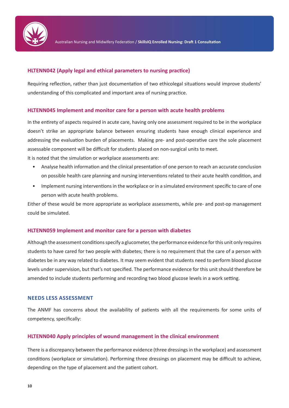

#### **HLTENN042 (Apply legal and ethical parameters to nursing practice)**

Requiring reflection, rather than just documentation of two ethicolegal situations would improve students' understanding of this complicated and important area of nursing practice.

#### **HLTENN045 Implement and monitor care for a person with acute health problems**

In the entirety of aspects required in acute care, having only one assessment required to be in the workplace doesn't strike an appropriate balance between ensuring students have enough clinical experience and addressing the evaluation burden of placements. Making pre- and post-operative care the sole placement assessable component will be difficult for students placed on non-surgical units to meet. It is noted that the simulation or workplace assessments are:

- Analyse health information and the clinical presentation of one person to reach an accurate conclusion on possible health care planning and nursing interventions related to their acute health condition, and
- Implement nursing interventions in the workplace or in a simulated environment specific to care of one person with acute health problems.

Either of these would be more appropriate as workplace assessments, while pre- and post-op management could be simulated.

#### **HLTENN059 Implement and monitor care for a person with diabetes**

Although the assessment conditions specify a glucometer, the performance evidence for this unit only requires students to have cared for two people with diabetes; there is no requirement that the care of a person with diabetes be in any way related to diabetes. It may seem evident that students need to perform blood glucose levels under supervision, but that's not specified. The performance evidence for this unit should therefore be amended to include students performing and recording two blood glucose levels in a work setting.

#### **NEEDS LESS ASSESSMENT**

The ANMF has concerns about the availability of patients with all the requirements for some units of competency, specifically:

#### **HLTENN040 Apply principles of wound management in the clinical environment**

There is a discrepancy between the performance evidence (three dressings in the workplace) and assessment conditions (workplace or simulation). Performing three dressings on placement may be difficult to achieve, depending on the type of placement and the patient cohort.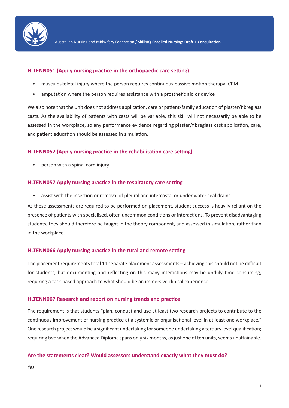

#### **HLTENN051 (Apply nursing practice in the orthopaedic care setting)**

- musculoskeletal injury where the person requires continuous passive motion therapy (CPM)
- amputation where the person requires assistance with a prosthetic aid or device

We also note that the unit does not address application, care or patient/family education of plaster/fibreglass casts. As the availability of patients with casts will be variable, this skill will not necessarily be able to be assessed in the workplace, so any performance evidence regarding plaster/fibreglass cast application, care, and patient education should be assessed in simulation.

#### **HLTENN052 (Apply nursing practice in the rehabilitation care setting)**

• person with a spinal cord injury

#### **HLTENN057 Apply nursing practice in the respiratory care setting**

• assist with the insertion or removal of pleural and intercostal or under water seal drains

As these assessments are required to be performed on placement, student success is heavily reliant on the presence of patients with specialised, often uncommon conditions or interactions. To prevent disadvantaging students, they should therefore be taught in the theory component, and assessed in simulation, rather than in the workplace.

#### **HLTENN066 Apply nursing practice in the rural and remote setting**

The placement requirements total 11 separate placement assessments – achieving this should not be difficult for students, but documenting and reflecting on this many interactions may be unduly time consuming, requiring a task-based approach to what should be an immersive clinical experience.

#### **HLTENN067 Research and report on nursing trends and practice**

The requirement is that students "plan, conduct and use at least two research projects to contribute to the continuous improvement of nursing practice at a systemic or organisational level in at least one workplace." One research project would be a significant undertaking for someone undertaking a tertiary level qualification; requiring two when the Advanced Diploma spans only six months, as just one of ten units, seems unattainable.

#### **Are the statements clear? Would assessors understand exactly what they must do?**

Yes.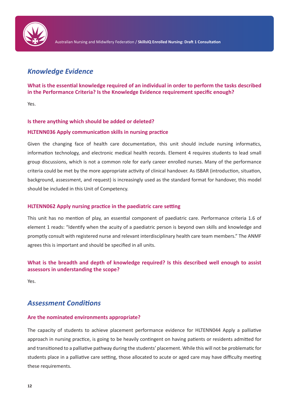

# *Knowledge Evidence*

**What is the essential knowledge required of an individual in order to perform the tasks described in the Performance Criteria? Is the Knowledge Evidence requirement specific enough?**

Yes.

#### **Is there anything which should be added or deleted?**

#### **HLTENN036 Apply communication skills in nursing practice**

Given the changing face of health care documentation, this unit should include nursing informatics, information technology, and electronic medical health records. Element 4 requires students to lead small group discussions, which is not a common role for early career enrolled nurses. Many of the performance criteria could be met by the more appropriate activity of clinical handover. As ISBAR (introduction, situation, background, assessment, and request) is increasingly used as the standard format for handover, this model should be included in this Unit of Competency.

#### **HLTENN062 Apply nursing practice in the paediatric care setting**

This unit has no mention of play, an essential component of paediatric care. Performance criteria 1.6 of element 1 reads: "Identify when the acuity of a paediatric person is beyond own skills and knowledge and promptly consult with registered nurse and relevant interdisciplinary health care team members." The ANMF agrees this is important and should be specified in all units.

#### **What is the breadth and depth of knowledge required? Is this described well enough to assist assessors in understanding the scope?**

Yes.

### *Assessment Conditions*

#### **Are the nominated environments appropriate?**

The capacity of students to achieve placement performance evidence for HLTENN044 Apply a palliative approach in nursing practice, is going to be heavily contingent on having patients or residents admitted for and transitioned to a palliative pathway during the students' placement. While this will not be problematic for students place in a palliative care setting, those allocated to acute or aged care may have difficulty meeting these requirements.